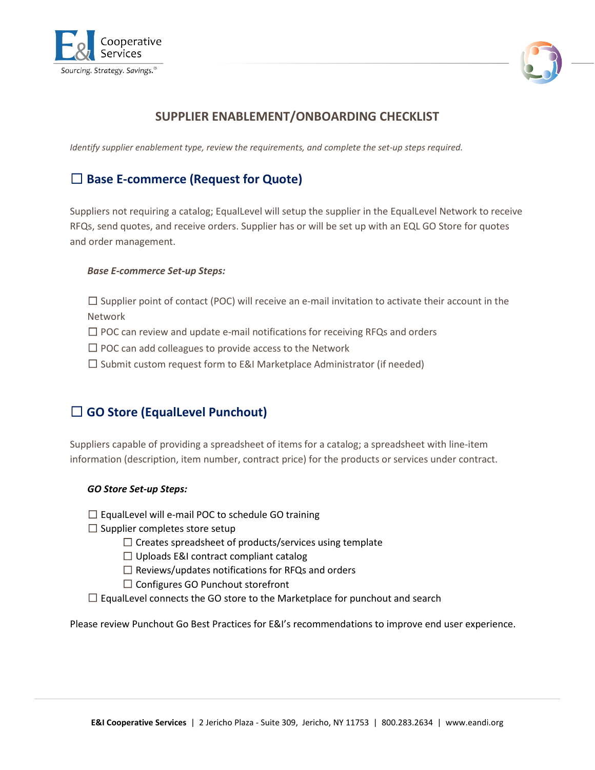



### **SUPPLIER ENABLEMENT/ONBOARDING CHECKLIST**

*Identify supplier enablement type, review the requirements, and complete the set-up steps required.*

## ☐ **Base E-commerce (Request for Quote)**

Suppliers not requiring a catalog; EqualLevel will setup the supplier in the EqualLevel Network to receive RFQs, send quotes, and receive orders. Supplier has or will be set up with an EQL GO Store for quotes and order management.

#### *Base E-commerce Set-up Steps:*

 $\square$  Supplier point of contact (POC) will receive an e-mail invitation to activate their account in the Network

 $\Box$  POC can review and update e-mail notifications for receiving RFQs and orders

□ POC can add colleagues to provide access to the Network

☐ Submit custom request form to E&I Marketplace Administrator (if needed)

### ☐ **GO Store (EqualLevel Punchout)**

Suppliers capable of providing a spreadsheet of items for a catalog; a spreadsheet with line-item information (description, item number, contract price) for the products or services under contract.

#### *GO Store Set-up Steps:*

 $\Box$  EqualLevel will e-mail POC to schedule GO training

 $\Box$  Supplier completes store setup

 $\Box$  Creates spreadsheet of products/services using template

 $\Box$  Uploads E&I contract compliant catalog

 $\Box$  Reviews/updates notifications for RFQs and orders

□ Configures GO Punchout storefront

 $\Box$  EqualLevel connects the GO store to the Marketplace for punchout and search

Please review Punchout Go Best Practices for E&I's recommendations to improve end user experience.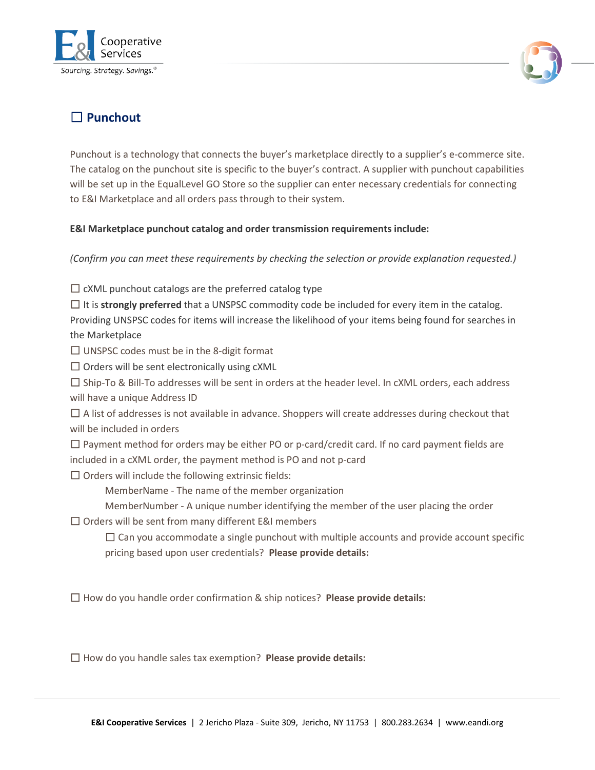



# ☐ **Punchout**

Punchout is a technology that connects the buyer's marketplace directly to a supplier's e-commerce site. The catalog on the punchout site is specific to the buyer's contract. A supplier with punchout capabilities will be set up in the EqualLevel GO Store so the supplier can enter necessary credentials for connecting to E&I Marketplace and all orders pass through to their system.

#### **E&I Marketplace punchout catalog and order transmission requirements include:**

*(Confirm you can meet these requirements by checking the selection or provide explanation requested.)*

 $\Box$  cXML punchout catalogs are the preferred catalog type

☐ It is **strongly preferred** that a UNSPSC commodity code be included for every item in the catalog. Providing UNSPSC codes for items will increase the likelihood of your items being found for searches in the Marketplace

 $\Box$  UNSPSC codes must be in the 8-digit format

 $\Box$  Orders will be sent electronically using  $cXML$ 

☐ Ship-To & Bill-To addresses will be sent in orders at the header level. In cXML orders, each address will have a unique Address ID

 $\Box$  A list of addresses is not available in advance. Shoppers will create addresses during checkout that will be included in orders

 $\Box$  Payment method for orders may be either PO or p-card/credit card. If no card payment fields are included in a cXML order, the payment method is PO and not p-card

 $\Box$  Orders will include the following extrinsic fields:

MemberName - The name of the member organization

MemberNumber - A unique number identifying the member of the user placing the order

 $\Box$  Orders will be sent from many different E&I members

 $\Box$  Can you accommodate a single punchout with multiple accounts and provide account specific pricing based upon user credentials? **Please provide details:**

☐ How do you handle order confirmation & ship notices? **Please provide details:**

☐ How do you handle sales tax exemption? **Please provide details:**